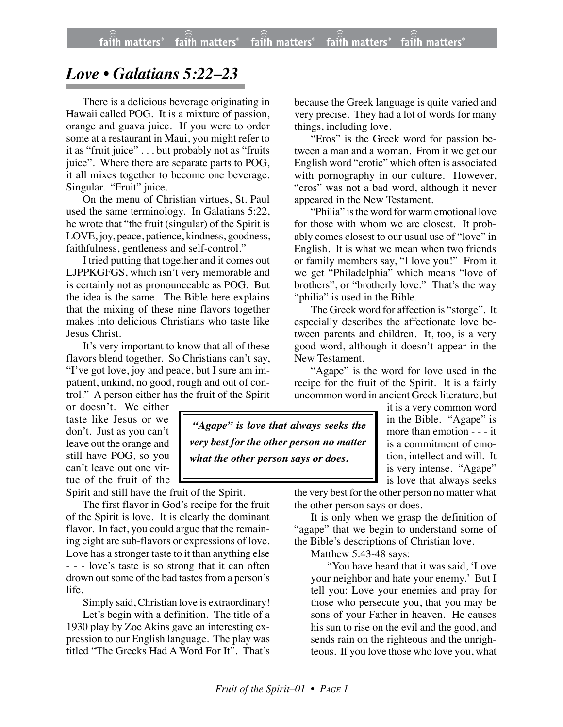## *Love • Galatians 5:22–23*

There is a delicious beverage originating in Hawaii called POG. It is a mixture of passion, orange and guava juice. If you were to order some at a restaurant in Maui, you might refer to it as "fruit juice" . . . but probably not as "fruits juice". Where there are separate parts to POG, it all mixes together to become one beverage. Singular. "Fruit" juice.

On the menu of Christian virtues, St. Paul used the same terminology. In Galatians 5:22, he wrote that "the fruit (singular) of the Spirit is LOVE, joy, peace, patience, kindness, goodness, faithfulness, gentleness and self-control."

I tried putting that together and it comes out LJPPKGFGS, which isn't very memorable and is certainly not as pronounceable as POG. But the idea is the same. The Bible here explains that the mixing of these nine flavors together makes into delicious Christians who taste like Jesus Christ.

It's very important to know that all of these flavors blend together. So Christians can't say, "I've got love, joy and peace, but I sure am impatient, unkind, no good, rough and out of control." A person either has the fruit of the Spirit

or doesn't. We either taste like Jesus or we don't. Just as you can't leave out the orange and still have POG, so you can't leave out one virtue of the fruit of the

Spirit and still have the fruit of the Spirit.

The first flavor in God's recipe for the fruit of the Spirit is love. It is clearly the dominant flavor. In fact, you could argue that the remaining eight are sub-flavors or expressions of love. Love has a stronger taste to it than anything else - - - love's taste is so strong that it can often drown out some of the bad tastes from a person's life.

Simply said, Christian love is extraordinary!

Let's begin with a definition. The title of a 1930 play by Zoe Akins gave an interesting expression to our English language. The play was titled "The Greeks Had A Word For It". That's

because the Greek language is quite varied and very precise. They had a lot of words for many things, including love.

"Eros" is the Greek word for passion between a man and a woman. From it we get our English word "erotic" which often is associated with pornography in our culture. However, "eros" was not a bad word, although it never appeared in the New Testament.

"Philia" is the word for warm emotional love for those with whom we are closest. It probably comes closest to our usual use of "love" in English. It is what we mean when two friends or family members say, "I love you!" From it we get "Philadelphia" which means "love of brothers", or "brotherly love." That's the way "philia" is used in the Bible.

The Greek word for affection is "storge". It especially describes the affectionate love between parents and children. It, too, is a very good word, although it doesn't appear in the New Testament.

"Agape" is the word for love used in the recipe for the fruit of the Spirit. It is a fairly uncommon word in ancient Greek literature, but

*"Agape" is love that always seeks the very best for the other person no matter what the other person says or does.*

it is a very common word in the Bible. "Agape" is more than emotion - - - it is a commitment of emotion, intellect and will. It is very intense. "Agape" is love that always seeks

the very best for the other person no matter what the other person says or does.

It is only when we grasp the definition of "agape" that we begin to understand some of the Bible's descriptions of Christian love.

Matthew 5:43-48 says:

"You have heard that it was said, 'Love your neighbor and hate your enemy.' But I tell you: Love your enemies and pray for those who persecute you, that you may be sons of your Father in heaven. He causes his sun to rise on the evil and the good, and sends rain on the righteous and the unrighteous. If you love those who love you, what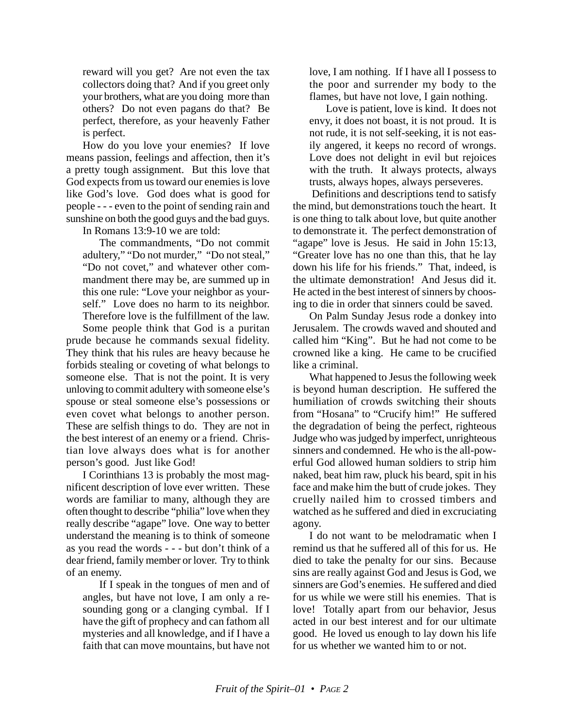reward will you get? Are not even the tax collectors doing that? And if you greet only your brothers, what are you doing more than others? Do not even pagans do that? Be perfect, therefore, as your heavenly Father is perfect.

How do you love your enemies? If love means passion, feelings and affection, then it's a pretty tough assignment. But this love that God expects from us toward our enemies is love like God's love. God does what is good for people - - - even to the point of sending rain and sunshine on both the good guys and the bad guys.

In Romans 13:9-10 we are told:

The commandments, "Do not commit adultery," "Do not murder," "Do not steal," "Do not covet," and whatever other commandment there may be, are summed up in this one rule: "Love your neighbor as yourself." Love does no harm to its neighbor. Therefore love is the fulfillment of the law.

Some people think that God is a puritan prude because he commands sexual fidelity. They think that his rules are heavy because he forbids stealing or coveting of what belongs to someone else. That is not the point. It is very unloving to commit adultery with someone else's spouse or steal someone else's possessions or even covet what belongs to another person. These are selfish things to do. They are not in the best interest of an enemy or a friend. Christian love always does what is for another person's good. Just like God!

I Corinthians 13 is probably the most magnificent description of love ever written. These words are familiar to many, although they are often thought to describe "philia" love when they really describe "agape" love. One way to better understand the meaning is to think of someone as you read the words - - - but don't think of a dear friend, family member or lover. Try to think of an enemy.

If I speak in the tongues of men and of angles, but have not love, I am only a resounding gong or a clanging cymbal. If I have the gift of prophecy and can fathom all mysteries and all knowledge, and if I have a faith that can move mountains, but have not

love, I am nothing. If I have all I possess to the poor and surrender my body to the flames, but have not love, I gain nothing.

Love is patient, love is kind. It does not envy, it does not boast, it is not proud. It is not rude, it is not self-seeking, it is not easily angered, it keeps no record of wrongs. Love does not delight in evil but rejoices with the truth. It always protects, always trusts, always hopes, always perseveres.

 Definitions and descriptions tend to satisfy the mind, but demonstrations touch the heart. It is one thing to talk about love, but quite another to demonstrate it. The perfect demonstration of "agape" love is Jesus. He said in John 15:13, "Greater love has no one than this, that he lay down his life for his friends." That, indeed, is the ultimate demonstration! And Jesus did it. He acted in the best interest of sinners by choosing to die in order that sinners could be saved.

On Palm Sunday Jesus rode a donkey into Jerusalem. The crowds waved and shouted and called him "King". But he had not come to be crowned like a king. He came to be crucified like a criminal.

What happened to Jesus the following week is beyond human description. He suffered the humiliation of crowds switching their shouts from "Hosana" to "Crucify him!" He suffered the degradation of being the perfect, righteous Judge who was judged by imperfect, unrighteous sinners and condemned. He who is the all-powerful God allowed human soldiers to strip him naked, beat him raw, pluck his beard, spit in his face and make him the butt of crude jokes. They cruelly nailed him to crossed timbers and watched as he suffered and died in excruciating agony.

I do not want to be melodramatic when I remind us that he suffered all of this for us. He died to take the penalty for our sins. Because sins are really against God and Jesus is God, we sinners are God's enemies. He suffered and died for us while we were still his enemies. That is love! Totally apart from our behavior, Jesus acted in our best interest and for our ultimate good. He loved us enough to lay down his life for us whether we wanted him to or not.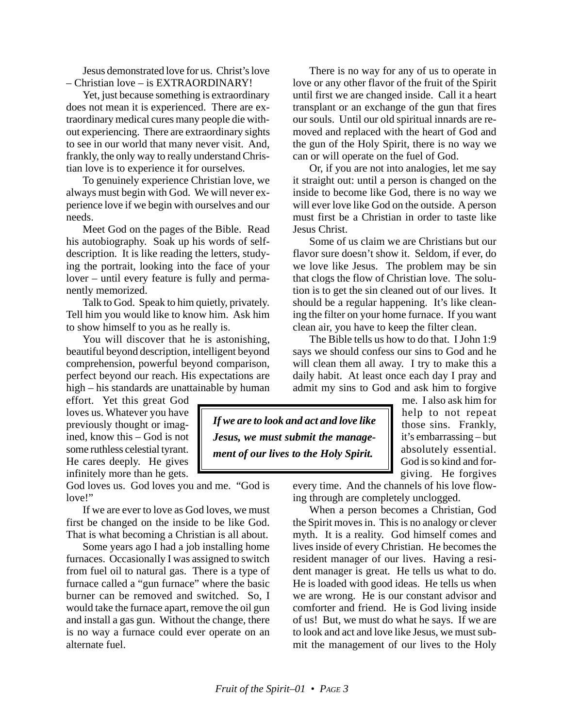Jesus demonstrated love for us. Christ's love – Christian love – is EXTRAORDINARY!

Yet, just because something is extraordinary does not mean it is experienced. There are extraordinary medical cures many people die without experiencing. There are extraordinary sights to see in our world that many never visit. And, frankly, the only way to really understand Christian love is to experience it for ourselves.

To genuinely experience Christian love, we always must begin with God. We will never experience love if we begin with ourselves and our needs.

Meet God on the pages of the Bible. Read his autobiography. Soak up his words of selfdescription. It is like reading the letters, studying the portrait, looking into the face of your lover – until every feature is fully and permanently memorized.

Talk to God. Speak to him quietly, privately. Tell him you would like to know him. Ask him to show himself to you as he really is.

You will discover that he is astonishing, beautiful beyond description, intelligent beyond comprehension, powerful beyond comparison, perfect beyond our reach. His expectations are high – his standards are unattainable by human

effort. Yet this great God loves us. Whatever you have previously thought or imagined, know this – God is not some ruthless celestial tyrant. He cares deeply. He gives infinitely more than he gets.

God loves us. God loves you and me. "God is love!"

If we are ever to love as God loves, we must first be changed on the inside to be like God. That is what becoming a Christian is all about.

Some years ago I had a job installing home furnaces. Occasionally I was assigned to switch from fuel oil to natural gas. There is a type of furnace called a "gun furnace" where the basic burner can be removed and switched. So, I would take the furnace apart, remove the oil gun and install a gas gun. Without the change, there is no way a furnace could ever operate on an alternate fuel.

There is no way for any of us to operate in love or any other flavor of the fruit of the Spirit until first we are changed inside. Call it a heart transplant or an exchange of the gun that fires our souls. Until our old spiritual innards are removed and replaced with the heart of God and the gun of the Holy Spirit, there is no way we can or will operate on the fuel of God.

Or, if you are not into analogies, let me say it straight out: until a person is changed on the inside to become like God, there is no way we will ever love like God on the outside. A person must first be a Christian in order to taste like Jesus Christ.

Some of us claim we are Christians but our flavor sure doesn't show it. Seldom, if ever, do we love like Jesus. The problem may be sin that clogs the flow of Christian love. The solution is to get the sin cleaned out of our lives. It should be a regular happening. It's like cleaning the filter on your home furnace. If you want clean air, you have to keep the filter clean.

The Bible tells us how to do that. I John 1:9 says we should confess our sins to God and he will clean them all away. I try to make this a daily habit. At least once each day I pray and admit my sins to God and ask him to forgive

*If we are to look and act and love like Jesus, we must submit the management of our lives to the Holy Spirit.*

me. I also ask him for help to not repeat those sins. Frankly, it's embarrassing – but absolutely essential. God is so kind and forgiving. He forgives

every time. And the channels of his love flowing through are completely unclogged.

When a person becomes a Christian, God the Spirit moves in. This is no analogy or clever myth. It is a reality. God himself comes and lives inside of every Christian. He becomes the resident manager of our lives. Having a resident manager is great. He tells us what to do. He is loaded with good ideas. He tells us when we are wrong. He is our constant advisor and comforter and friend. He is God living inside of us! But, we must do what he says. If we are to look and act and love like Jesus, we must submit the management of our lives to the Holy